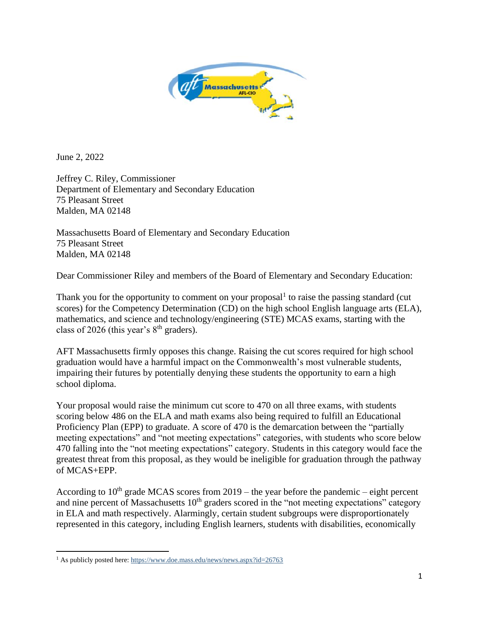

June 2, 2022

Jeffrey C. Riley, Commissioner Department of Elementary and Secondary Education 75 Pleasant Street Malden, MA 02148

Massachusetts Board of Elementary and Secondary Education 75 Pleasant Street Malden, MA 02148

Dear Commissioner Riley and members of the Board of Elementary and Secondary Education:

Thank you for the opportunity to comment on your proposal $<sup>1</sup>$  to raise the passing standard (cut</sup> scores) for the Competency Determination (CD) on the high school English language arts (ELA), mathematics, and science and technology/engineering (STE) MCAS exams, starting with the class of 2026 (this year's  $8<sup>th</sup>$  graders).

AFT Massachusetts firmly opposes this change. Raising the cut scores required for high school graduation would have a harmful impact on the Commonwealth's most vulnerable students, impairing their futures by potentially denying these students the opportunity to earn a high school diploma.

Your proposal would raise the minimum cut score to 470 on all three exams, with students scoring below 486 on the ELA and math exams also being required to fulfill an Educational Proficiency Plan (EPP) to graduate. A score of 470 is the demarcation between the "partially meeting expectations" and "not meeting expectations" categories, with students who score below 470 falling into the "not meeting expectations" category. Students in this category would face the greatest threat from this proposal, as they would be ineligible for graduation through the pathway of MCAS+EPP.

According to  $10^{th}$  grade MCAS scores from 2019 – the year before the pandemic – eight percent and nine percent of Massachusetts  $10<sup>th</sup>$  graders scored in the "not meeting expectations" category in ELA and math respectively. Alarmingly, certain student subgroups were disproportionately represented in this category, including English learners, students with disabilities, economically

<sup>&</sup>lt;sup>1</sup> As publicly posted here[: https://www.doe.mass.edu/news/news.aspx?id=26763](https://www.doe.mass.edu/news/news.aspx?id=26763)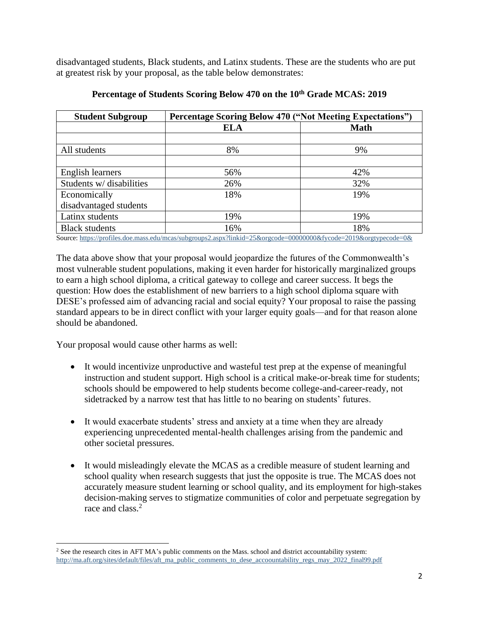disadvantaged students, Black students, and Latinx students. These are the students who are put at greatest risk by your proposal, as the table below demonstrates:

| <b>Student Subgroup</b>  | <b>Percentage Scoring Below 470 ("Not Meeting Expectations")</b> |             |
|--------------------------|------------------------------------------------------------------|-------------|
|                          | <b>ELA</b>                                                       | <b>Math</b> |
|                          |                                                                  |             |
| All students             | 8%                                                               | 9%          |
|                          |                                                                  |             |
| English learners         | 56%                                                              | 42%         |
| Students w/ disabilities | 26%                                                              | 32%         |
| Economically             | 18%                                                              | 19%         |
| disadvantaged students   |                                                                  |             |
| Latinx students          | 19%                                                              | 19%         |
| <b>Black students</b>    | 16%                                                              | 18%         |

## **Percentage of Students Scoring Below 470 on the 10th Grade MCAS: 2019**

Source[: https://profiles.doe.mass.edu/mcas/subgroups2.aspx?linkid=25&orgcode=00000000&fycode=2019&orgtypecode=0&](https://profiles.doe.mass.edu/mcas/subgroups2.aspx?linkid=25&orgcode=00000000&fycode=2019&orgtypecode=0&)

The data above show that your proposal would jeopardize the futures of the Commonwealth's most vulnerable student populations, making it even harder for historically marginalized groups to earn a high school diploma, a critical gateway to college and career success. It begs the question: How does the establishment of new barriers to a high school diploma square with DESE's professed aim of advancing racial and social equity? Your proposal to raise the passing standard appears to be in direct conflict with your larger equity goals—and for that reason alone should be abandoned.

Your proposal would cause other harms as well:

- It would incentivize unproductive and wasteful test prep at the expense of meaningful instruction and student support. High school is a critical make-or-break time for students; schools should be empowered to help students become college-and-career-ready, not sidetracked by a narrow test that has little to no bearing on students' futures.
- It would exacerbate students' stress and anxiety at a time when they are already experiencing unprecedented mental-health challenges arising from the pandemic and other societal pressures.
- It would misleadingly elevate the MCAS as a credible measure of student learning and school quality when research suggests that just the opposite is true. The MCAS does not accurately measure student learning or school quality, and its employment for high-stakes decision-making serves to stigmatize communities of color and perpetuate segregation by race and class.<sup>2</sup>

<sup>&</sup>lt;sup>2</sup> See the research cites in AFT MA's public comments on the Mass. school and district accountability system: [http://ma.aft.org/sites/default/files/aft\\_ma\\_public\\_comments\\_to\\_dese\\_accoountability\\_regs\\_may\\_2022\\_final99.pdf](http://ma.aft.org/sites/default/files/aft_ma_public_comments_to_dese_accoountability_regs_may_2022_final99.pdf)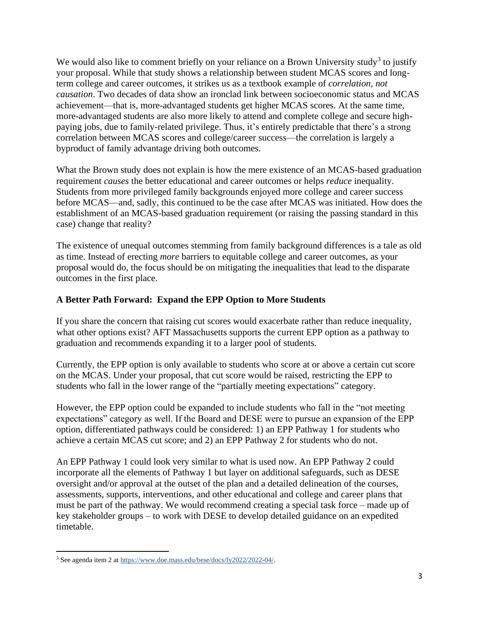We would also like to comment briefly on your reliance on a Brown University study<sup>3</sup> to justify your proposal. While that study shows a relationship between student MCAS scores and longterm college and career outcomes, it strikes us as a textbook example of *correlation, not causation*. Two decades of data show an ironclad link between socioeconomic status and MCAS achievement—that is, more-advantaged students get higher MCAS scores. At the same time, more-advantaged students are also more likely to attend and complete college and secure highpaying jobs, due to family-related privilege. Thus, it's entirely predictable that there's a strong correlation between MCAS scores and college/career success—the correlation is largely a byproduct of family advantage driving both outcomes.

What the Brown study does not explain is how the mere existence of an MCAS-based graduation requirement *causes* the better educational and career outcomes or helps *reduce* inequality. Students from more privileged family backgrounds enjoyed more college and career success before MCAS—and, sadly, this continued to be the case after MCAS was initiated. How does the establishment of an MCAS-based graduation requirement (or raising the passing standard in this case) change that reality?

The existence of unequal outcomes stemming from family background differences is a tale as old as time. Instead of erecting *more* barriers to equitable college and career outcomes, as your proposal would do, the focus should be on mitigating the inequalities that lead to the disparate outcomes in the first place.

## **A Better Path Forward: Expand the EPP Option to More Students**

If you share the concern that raising cut scores would exacerbate rather than reduce inequality, what other options exist? AFT Massachusetts supports the current EPP option as a pathway to graduation and recommends expanding it to a larger pool of students.

Currently, the EPP option is only available to students who score at or above a certain cut score on the MCAS. Under your proposal, that cut score would be raised, restricting the EPP to students who fall in the lower range of the "partially meeting expectations" category.

However, the EPP option could be expanded to include students who fall in the "not meeting expectations" category as well. If the Board and DESE were to pursue an expansion of the EPP option, differentiated pathways could be considered: 1) an EPP Pathway 1 for students who achieve a certain MCAS cut score; and 2) an EPP Pathway 2 for students who do not.

An EPP Pathway 1 could look very similar to what is used now. An EPP Pathway 2 could incorporate all the elements of Pathway 1 but layer on additional safeguards, such as DESE oversight and/or approval at the outset of the plan and a detailed delineation of the courses, assessments, supports, interventions, and other educational and college and career plans that must be part of the pathway. We would recommend creating a special task force – made up of key stakeholder groups – to work with DESE to develop detailed guidance on an expedited timetable.

<sup>3</sup> See agenda item 2 at [https://www.doe.mass.edu/bese/docs/fy2022/2022-04/.](https://www.doe.mass.edu/bese/docs/fy2022/2022-04/)